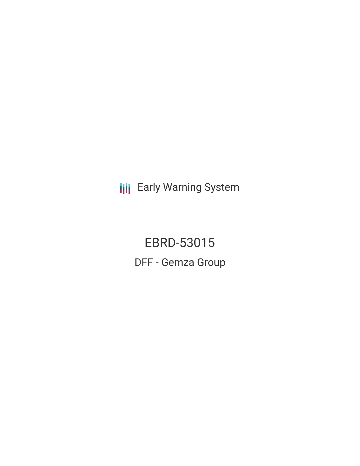**III** Early Warning System

EBRD-53015 DFF - Gemza Group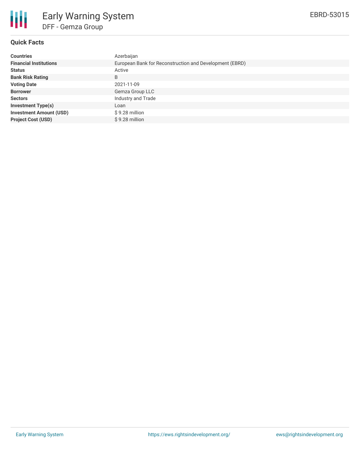

# **Quick Facts**

| <b>Countries</b>               | Azerbaijan                                              |
|--------------------------------|---------------------------------------------------------|
| <b>Financial Institutions</b>  | European Bank for Reconstruction and Development (EBRD) |
| <b>Status</b>                  | Active                                                  |
| <b>Bank Risk Rating</b>        | B                                                       |
| <b>Voting Date</b>             | 2021-11-09                                              |
| <b>Borrower</b>                | Gemza Group LLC                                         |
| <b>Sectors</b>                 | Industry and Trade                                      |
| <b>Investment Type(s)</b>      | Loan                                                    |
| <b>Investment Amount (USD)</b> | \$9.28 million                                          |
| <b>Project Cost (USD)</b>      | \$9.28 million                                          |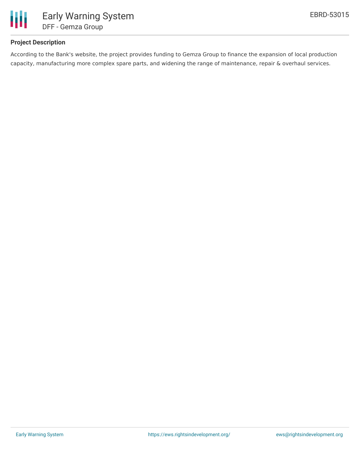

# **Project Description**

According to the Bank's website, the project provides funding to Gemza Group to finance the expansion of local production capacity, manufacturing more complex spare parts, and widening the range of maintenance, repair & overhaul services.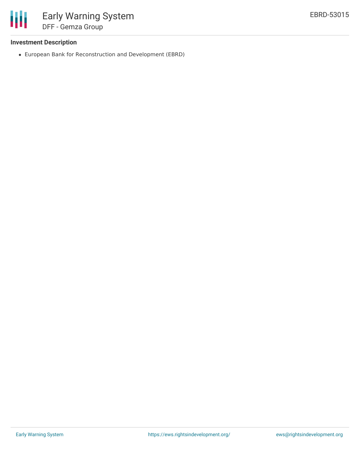

### **Investment Description**

European Bank for Reconstruction and Development (EBRD)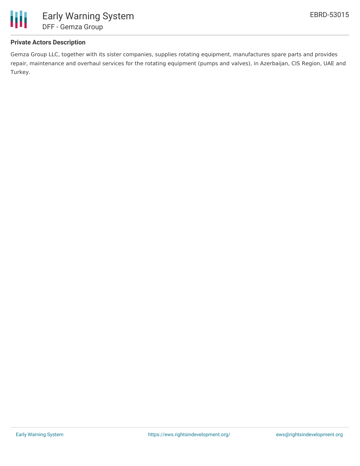

# **Private Actors Description**

Gemza Group LLC, together with its sister companies, supplies rotating equipment, manufactures spare parts and provides repair, maintenance and overhaul services for the rotating equipment (pumps and valves), in Azerbaijan, CIS Region, UAE and Turkey.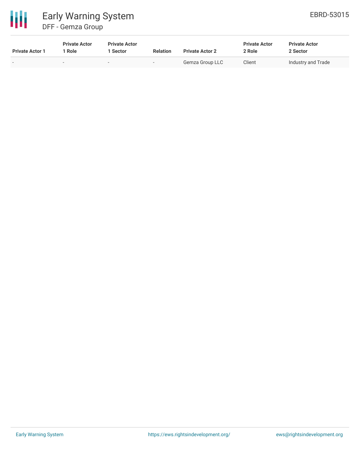

| <b>Private Actor 1</b>   | <b>Private Actor</b><br>1 Role | <b>Private Actor</b><br>1 Sector | <b>Relation</b>          | <b>Private Actor 2</b> | <b>Private Actor</b><br>2 Role | <b>Private Actor</b><br>2 Sector |  |
|--------------------------|--------------------------------|----------------------------------|--------------------------|------------------------|--------------------------------|----------------------------------|--|
| $\overline{\phantom{a}}$ | $\overline{\phantom{0}}$       | $\overline{\phantom{0}}$         | $\overline{\phantom{0}}$ | Gemza Group LLC        | Client                         | Industry and Trade               |  |